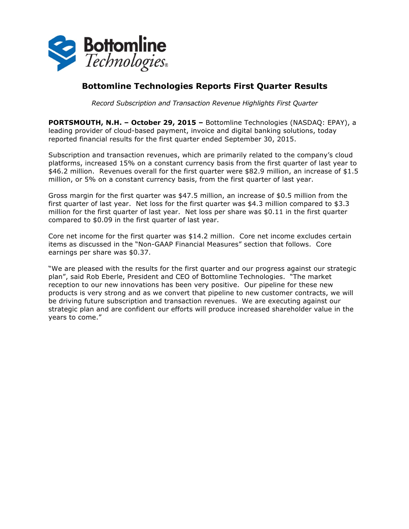

# **Bottomline Technologies Reports First Quarter Results**

*Record Subscription and Transaction Revenue Highlights First Quarter*

**PORTSMOUTH, N.H. – October 29, 2015 –** Bottomline Technologies (NASDAQ: EPAY), a leading provider of cloud-based payment, invoice and digital banking solutions, today reported financial results for the first quarter ended September 30, 2015.

Subscription and transaction revenues, which are primarily related to the company's cloud platforms, increased 15% on a constant currency basis from the first quarter of last year to \$46.2 million. Revenues overall for the first quarter were \$82.9 million, an increase of \$1.5 million, or 5% on a constant currency basis, from the first quarter of last year.

Gross margin for the first quarter was \$47.5 million, an increase of \$0.5 million from the first quarter of last year. Net loss for the first quarter was \$4.3 million compared to \$3.3 million for the first quarter of last year. Net loss per share was \$0.11 in the first quarter compared to \$0.09 in the first quarter of last year.

Core net income for the first quarter was \$14.2 million. Core net income excludes certain items as discussed in the "Non-GAAP Financial Measures" section that follows. Core earnings per share was \$0.37.

"We are pleased with the results for the first quarter and our progress against our strategic plan", said Rob Eberle, President and CEO of Bottomline Technologies. "The market reception to our new innovations has been very positive. Our pipeline for these new products is very strong and as we convert that pipeline to new customer contracts, we will be driving future subscription and transaction revenues. We are executing against our strategic plan and are confident our efforts will produce increased shareholder value in the years to come."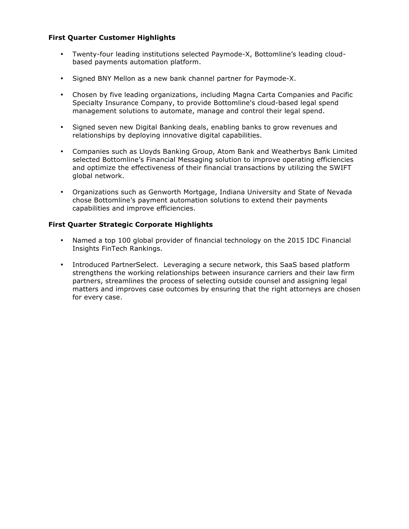# **First Quarter Customer Highlights**

- Twenty-four leading institutions selected Paymode-X, Bottomline's leading cloudbased payments automation platform.
- Signed BNY Mellon as a new bank channel partner for Paymode-X.
- Chosen by five leading organizations, including Magna Carta Companies and Pacific Specialty Insurance Company, to provide Bottomline's cloud-based legal spend management solutions to automate, manage and control their legal spend.
- Signed seven new Digital Banking deals, enabling banks to grow revenues and relationships by deploying innovative digital capabilities.
- Companies such as Lloyds Banking Group, Atom Bank and Weatherbys Bank Limited selected Bottomline's Financial Messaging solution to improve operating efficiencies and optimize the effectiveness of their financial transactions by utilizing the SWIFT global network.
- Organizations such as Genworth Mortgage, Indiana University and State of Nevada chose Bottomline's payment automation solutions to extend their payments capabilities and improve efficiencies.

# **First Quarter Strategic Corporate Highlights**

- Named a top 100 global provider of financial technology on the 2015 IDC Financial Insights FinTech Rankings.
- Introduced PartnerSelect. Leveraging a secure network, this SaaS based platform strengthens the working relationships between insurance carriers and their law firm partners, streamlines the process of selecting outside counsel and assigning legal matters and improves case outcomes by ensuring that the right attorneys are chosen for every case.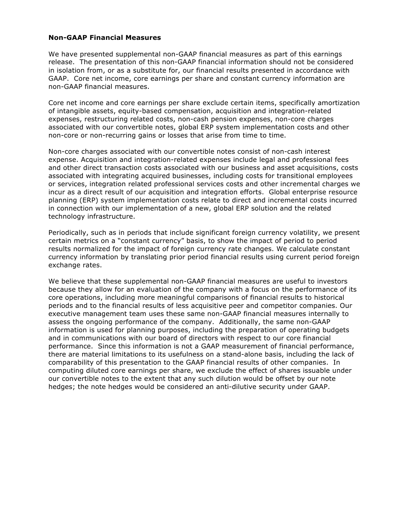## **Non-GAAP Financial Measures**

We have presented supplemental non-GAAP financial measures as part of this earnings release. The presentation of this non-GAAP financial information should not be considered in isolation from, or as a substitute for, our financial results presented in accordance with GAAP. Core net income, core earnings per share and constant currency information are non-GAAP financial measures.

Core net income and core earnings per share exclude certain items, specifically amortization of intangible assets, equity-based compensation, acquisition and integration-related expenses, restructuring related costs, non-cash pension expenses, non-core charges associated with our convertible notes, global ERP system implementation costs and other non-core or non-recurring gains or losses that arise from time to time.

Non-core charges associated with our convertible notes consist of non-cash interest expense. Acquisition and integration-related expenses include legal and professional fees and other direct transaction costs associated with our business and asset acquisitions, costs associated with integrating acquired businesses, including costs for transitional employees or services, integration related professional services costs and other incremental charges we incur as a direct result of our acquisition and integration efforts. Global enterprise resource planning (ERP) system implementation costs relate to direct and incremental costs incurred in connection with our implementation of a new, global ERP solution and the related technology infrastructure.

Periodically, such as in periods that include significant foreign currency volatility, we present certain metrics on a "constant currency" basis, to show the impact of period to period results normalized for the impact of foreign currency rate changes. We calculate constant currency information by translating prior period financial results using current period foreign exchange rates.

We believe that these supplemental non-GAAP financial measures are useful to investors because they allow for an evaluation of the company with a focus on the performance of its core operations, including more meaningful comparisons of financial results to historical periods and to the financial results of less acquisitive peer and competitor companies. Our executive management team uses these same non-GAAP financial measures internally to assess the ongoing performance of the company. Additionally, the same non-GAAP information is used for planning purposes, including the preparation of operating budgets and in communications with our board of directors with respect to our core financial performance. Since this information is not a GAAP measurement of financial performance, there are material limitations to its usefulness on a stand-alone basis, including the lack of comparability of this presentation to the GAAP financial results of other companies. In computing diluted core earnings per share, we exclude the effect of shares issuable under our convertible notes to the extent that any such dilution would be offset by our note hedges; the note hedges would be considered an anti-dilutive security under GAAP.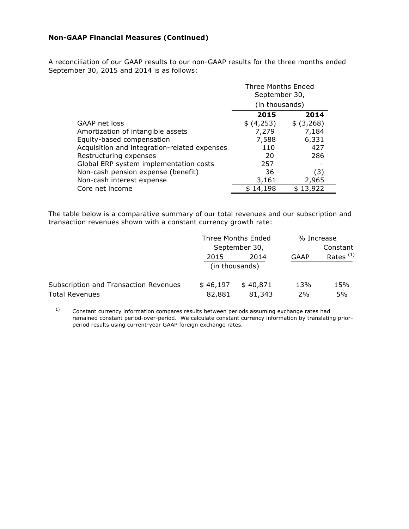# **Non-GAAP Financial Measures (Continued)**

A reconciliation of our GAAP results to our non-GAAP results for the three months ended September 30, 2015 and 2014 is as follows:

|                                              | <b>Three Months Ended</b><br>September 30, |            |  |
|----------------------------------------------|--------------------------------------------|------------|--|
|                                              | (in thousands)                             |            |  |
|                                              | 2015<br>2014                               |            |  |
| GAAP net loss                                | \$ (4,253)                                 | \$ (3,268) |  |
| Amortization of intangible assets            | 7,279                                      | 7,184      |  |
| Equity-based compensation                    | 7,588                                      | 6,331      |  |
| Acquisition and integration-related expenses | 110                                        | 427        |  |
| Restructuring expenses                       | 20                                         | 286        |  |
| Global ERP system implementation costs       | 257                                        |            |  |
| Non-cash pension expense (benefit)           | 36                                         | (3)        |  |
| Non-cash interest expense                    | 3,161                                      | 2,965      |  |
| Core net income                              | \$14,198                                   | \$13,922   |  |

The table below is a comparative summary of our total revenues and our subscription and transaction revenues shown with a constant currency growth rate:

|                                       | Three Months Ended<br>September 30, |          | % Increase |             |
|---------------------------------------|-------------------------------------|----------|------------|-------------|
|                                       |                                     |          |            | Constant    |
|                                       | 2015                                | 2014     | GAAP       | Rates $(1)$ |
|                                       | (in thousands)                      |          |            |             |
| Subscription and Transaction Revenues | \$46,197                            | \$40,871 | 13%        | 15%         |
| Total Revenues                        | 82,881                              | 81,343   | 2%         | 5%          |

<sup>1)</sup> Constant currency information compares results between periods assuming exchange rates had remained constant period-over-period. We calculate constant currency information by translating priorperiod results using current-year GAAP foreign exchange rates.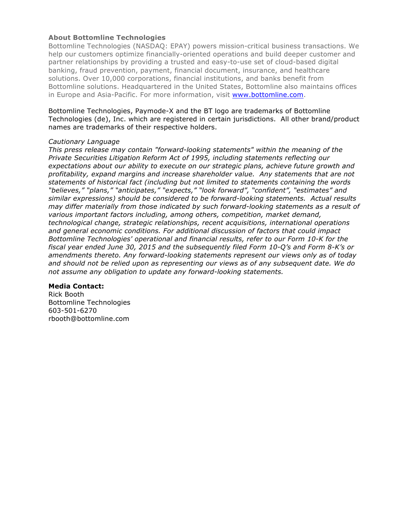# **About Bottomline Technologies**

Bottomline Technologies (NASDAQ: EPAY) powers mission-critical business transactions. We help our customers optimize financially-oriented operations and build deeper customer and partner relationships by providing a trusted and easy-to-use set of cloud-based digital banking, fraud prevention, payment, financial document, insurance, and healthcare solutions. Over 10,000 corporations, financial institutions, and banks benefit from Bottomline solutions. Headquartered in the United States, Bottomline also maintains offices in Europe and Asia-Pacific. For more information, visit www.bottomline.com.

Bottomline Technologies, Paymode-X and the BT logo are trademarks of Bottomline Technologies (de), Inc. which are registered in certain jurisdictions. All other brand/product names are trademarks of their respective holders.

#### *Cautionary Language*

*This press release may contain "forward-looking statements" within the meaning of the Private Securities Litigation Reform Act of 1995, including statements reflecting our expectations about our ability to execute on our strategic plans, achieve future growth and profitability, expand margins and increase shareholder value. Any statements that are not statements of historical fact (including but not limited to statements containing the words "believes," "plans," "anticipates," "expects," "look forward", "confident", "estimates" and similar expressions) should be considered to be forward-looking statements. Actual results may differ materially from those indicated by such forward-looking statements as a result of various important factors including, among others, competition, market demand, technological change, strategic relationships, recent acquisitions, international operations and general economic conditions. For additional discussion of factors that could impact Bottomline Technologies' operational and financial results, refer to our Form 10-K for the fiscal year ended June 30, 2015 and the subsequently filed Form 10-Q's and Form 8-K's or amendments thereto. Any forward-looking statements represent our views only as of today and should not be relied upon as representing our views as of any subsequent date. We do not assume any obligation to update any forward-looking statements.*

# **Media Contact:**

Rick Booth Bottomline Technologies 603-501-6270 rbooth@bottomline.com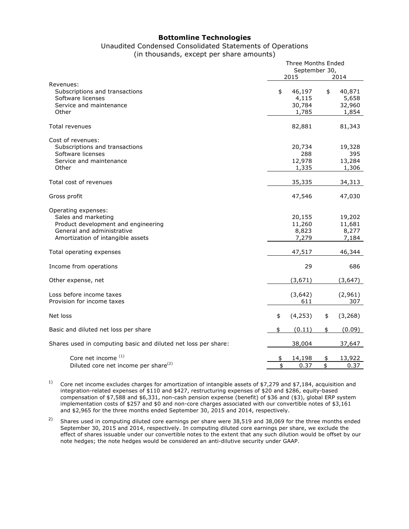## **Bottomline Technologies**

# Unaudited Condensed Consolidated Statements of Operations

(in thousands, except per share amounts)

|                                                                                                                                                      |          | Three Months Ended<br>September 30,<br>2015 |          | 2014                               |  |
|------------------------------------------------------------------------------------------------------------------------------------------------------|----------|---------------------------------------------|----------|------------------------------------|--|
| Revenues:<br>Subscriptions and transactions<br>Software licenses<br>Service and maintenance<br>Other                                                 | \$       | 46,197<br>4,115<br>30,784<br>1,785          | \$       | 40,871<br>5,658<br>32,960<br>1,854 |  |
| Total revenues                                                                                                                                       |          | 82,881                                      |          | 81,343                             |  |
| Cost of revenues:<br>Subscriptions and transactions<br>Software licenses<br>Service and maintenance<br>Other                                         |          | 20,734<br>288<br>12,978<br>1,335            |          | 19,328<br>395<br>13,284<br>1,306   |  |
| Total cost of revenues                                                                                                                               |          | 35,335                                      |          | 34,313                             |  |
| Gross profit                                                                                                                                         |          | 47,546                                      |          | 47,030                             |  |
| Operating expenses:<br>Sales and marketing<br>Product development and engineering<br>General and administrative<br>Amortization of intangible assets |          | 20,155<br>11,260<br>8,823<br>7,279          |          | 19,202<br>11,681<br>8,277<br>7,184 |  |
| Total operating expenses                                                                                                                             |          | 47,517                                      |          | 46,344                             |  |
| Income from operations                                                                                                                               |          | 29                                          |          | 686                                |  |
| Other expense, net                                                                                                                                   |          | (3,671)                                     |          | (3,647)                            |  |
| Loss before income taxes<br>Provision for income taxes                                                                                               |          | (3,642)<br>611                              |          | (2,961)<br>307                     |  |
| Net loss                                                                                                                                             | \$       | (4, 253)                                    | \$       | (3, 268)                           |  |
| Basic and diluted net loss per share                                                                                                                 | \$       | (0.11)                                      | \$       | (0.09)                             |  |
| Shares used in computing basic and diluted net loss per share:                                                                                       |          | 38,004                                      |          | 37,647                             |  |
| Core net income <sup>(1)</sup><br>Diluted core net income per share <sup>(2)</sup>                                                                   | \$<br>\$ | 14,198<br>0.37                              | \$<br>\$ | 13,922<br>0.37                     |  |

<sup>1)</sup> Core net income excludes charges for amortization of intangible assets of \$7,279 and \$7,184, acquisition and integration-related expenses of \$110 and \$427, restructuring expenses of \$20 and \$286, equity-based compensation of \$7,588 and \$6,331, non-cash pension expense (benefit) of \$36 and (\$3), global ERP system implementation costs of \$257 and \$0 and non-core charges associated with our convertible notes of \$3,161 and \$2,965 for the three months ended September 30, 2015 and 2014, respectively.

<sup>2)</sup> Shares used in computing diluted core earnings per share were 38,519 and 38,069 for the three months ended September 30, 2015 and 2014, respectively. In computing diluted core earnings per share, we exclude the effect of shares issuable under our convertible notes to the extent that any such dilution would be offset by our note hedges; the note hedges would be considered an anti-dilutive security under GAAP.